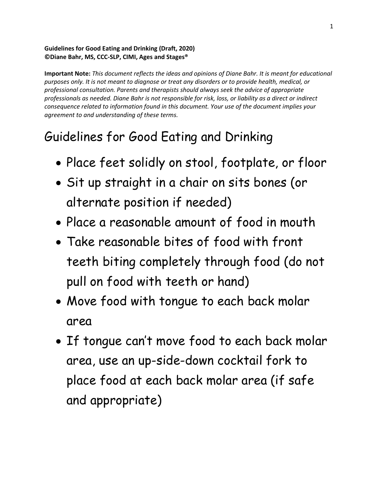## **Guidelines for Good Eating and Drinking (Draft, 2020) ©Diane Bahr, MS, CCC-SLP, CIMI, Ages and Stages®**

**Important Note:** *This document reflects the ideas and opinions of Diane Bahr. It is meant for educational purposes only. It is not meant to diagnose or treat any disorders or to provide health, medical, or professional consultation. Parents and therapists should always seek the advice of appropriate professionals as needed. Diane Bahr is not responsible for risk, loss, or liability as a direct or indirect consequence related to information found in this document. Your use of the document implies your agreement to and understanding of these terms.*

## Guidelines for Good Eating and Drinking

- Place feet solidly on stool, footplate, or floor
- Sit up straight in a chair on sits bones (or alternate position if needed)
- Place a reasonable amount of food in mouth
- Take reasonable bites of food with front teeth biting completely through food (do not pull on food with teeth or hand)
- Move food with tongue to each back molar area
- If tongue can't move food to each back molar area, use an up-side-down cocktail fork to place food at each back molar area (if safe and appropriate)